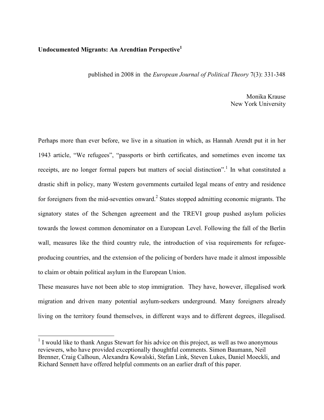# **Undocumented Migrants: An Arendtian Perspective<sup>1</sup>**

published in 2008 in the *European Journal of Political Theory* 7(3): 331-348

Monika Krause New York University

Perhaps more than ever before, we live in a situation in which, as Hannah Arendt put it in her 1943 article, "We refugees", "passports or birth certificates, and sometimes even income tax receipts, are no longer formal papers but matters of social distinction".<sup>1</sup> In what constituted a drastic shift in policy, many Western governments curtailed legal means of entry and residence for foreigners from the mid-seventies onward.<sup>2</sup> States stopped admitting economic migrants. The signatory states of the Schengen agreement and the TREVI group pushed asylum policies towards the lowest common denominator on a European Level. Following the fall of the Berlin wall, measures like the third country rule, the introduction of visa requirements for refugeeproducing countries, and the extension of the policing of borders have made it almost impossible to claim or obtain political asylum in the European Union.

These measures have not been able to stop immigration. They have, however, illegalised work migration and driven many potential asylum-seekers underground. Many foreigners already living on the territory found themselves, in different ways and to different degrees, illegalised.

 $\overline{a}$ 

<sup>&</sup>lt;sup>1</sup> I would like to thank Angus Stewart for his advice on this project, as well as two anonymous reviewers, who have provided exceptionally thoughtful comments. Simon Baumann, Neil Brenner, Craig Calhoun, Alexandra Kowalski, Stefan Link, Steven Lukes, Daniel Moeckli, and Richard Sennett have offered helpful comments on an earlier draft of this paper.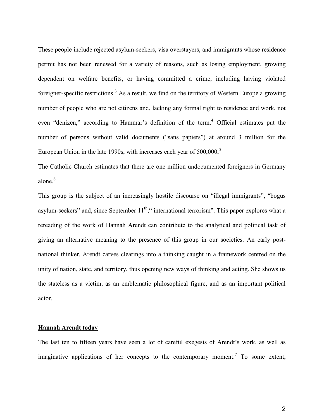These people include rejected asylum-seekers, visa overstayers, and immigrants whose residence permit has not been renewed for a variety of reasons, such as losing employment, growing dependent on welfare benefits, or having committed a crime, including having violated foreigner-specific restrictions.<sup>3</sup> As a result, we find on the territory of Western Europe a growing number of people who are not citizens and, lacking any formal right to residence and work, not even "denizen," according to Hammar's definition of the term.<sup>4</sup> Official estimates put the number of persons without valid documents ("sans papiers") at around 3 million for the European Union in the late 1990s, with increases each year of 500,000**.** 5

The Catholic Church estimates that there are one million undocumented foreigners in Germany alone. $6$ 

This group is the subject of an increasingly hostile discourse on "illegal immigrants", "bogus asylum-seekers" and, since September  $11<sup>th</sup>$ ," international terrorism". This paper explores what a rereading of the work of Hannah Arendt can contribute to the analytical and political task of giving an alternative meaning to the presence of this group in our societies. An early postnational thinker, Arendt carves clearings into a thinking caught in a framework centred on the unity of nation, state, and territory, thus opening new ways of thinking and acting. She shows us the stateless as a victim, as an emblematic philosophical figure, and as an important political actor.

## **Hannah Arendt today**

The last ten to fifteen years have seen a lot of careful exegesis of Arendt's work, as well as imaginative applications of her concepts to the contemporary moment.<sup>7</sup> To some extent,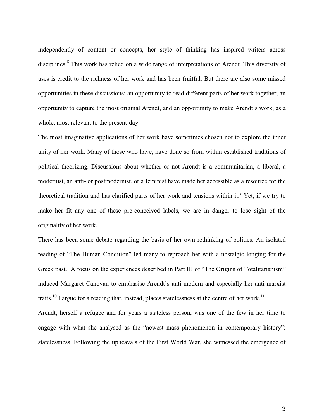independently of content or concepts, her style of thinking has inspired writers across disciplines.<sup>8</sup> This work has relied on a wide range of interpretations of Arendt. This diversity of uses is credit to the richness of her work and has been fruitful. But there are also some missed opportunities in these discussions: an opportunity to read different parts of her work together, an opportunity to capture the most original Arendt, and an opportunity to make Arendt's work, as a whole, most relevant to the present-day.

The most imaginative applications of her work have sometimes chosen not to explore the inner unity of her work. Many of those who have, have done so from within established traditions of political theorizing. Discussions about whether or not Arendt is a communitarian, a liberal, a modernist, an anti- or postmodernist, or a feminist have made her accessible as a resource for the theoretical tradition and has clarified parts of her work and tensions within it.<sup>9</sup> Yet, if we try to make her fit any one of these pre-conceived labels, we are in danger to lose sight of the originality of her work.

There has been some debate regarding the basis of her own rethinking of politics. An isolated reading of "The Human Condition" led many to reproach her with a nostalgic longing for the Greek past. A focus on the experiences described in Part III of "The Origins of Totalitarianism" induced Margaret Canovan to emphasise Arendt's anti-modern and especially her anti-marxist traits.<sup>10</sup> I argue for a reading that, instead, places statelessness at the centre of her work.<sup>11</sup>

Arendt, herself a refugee and for years a stateless person, was one of the few in her time to engage with what she analysed as the "newest mass phenomenon in contemporary history": statelessness. Following the upheavals of the First World War, she witnessed the emergence of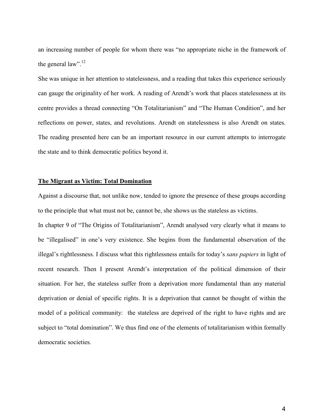an increasing number of people for whom there was "no appropriate niche in the framework of the general law". $^{12}$ 

She was unique in her attention to statelessness, and a reading that takes this experience seriously can gauge the originality of her work. A reading of Arendt's work that places statelessness at its centre provides a thread connecting "On Totalitarianism" and "The Human Condition", and her reflections on power, states, and revolutions. Arendt on statelessness is also Arendt on states. The reading presented here can be an important resource in our current attempts to interrogate the state and to think democratic politics beyond it.

## **The Migrant as Victim: Total Domination**

Against a discourse that, not unlike now, tended to ignore the presence of these groups according to the principle that what must not be, cannot be, she shows us the stateless as victims.

In chapter 9 of "The Origins of Totalitarianism", Arendt analysed very clearly what it means to be "illegalised" in one's very existence. She begins from the fundamental observation of the illegal's rightlessness. I discuss what this rightlessness entails for today's *sans papiers* in light of recent research. Then I present Arendt's interpretation of the political dimension of their situation. For her, the stateless suffer from a deprivation more fundamental than any material deprivation or denial of specific rights. It is a deprivation that cannot be thought of within the model of a political community: the stateless are deprived of the right to have rights and are subject to "total domination". We thus find one of the elements of totalitarianism within formally democratic societies.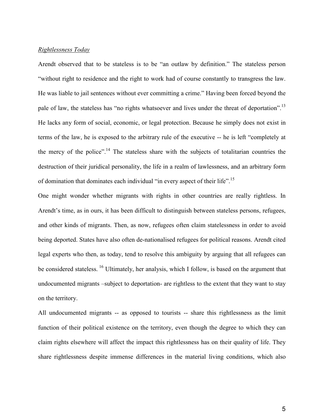# *Rightlessness Today*

Arendt observed that to be stateless is to be "an outlaw by definition." The stateless person "without right to residence and the right to work had of course constantly to transgress the law. He was liable to jail sentences without ever committing a crime." Having been forced beyond the pale of law, the stateless has "no rights whatsoever and lives under the threat of deportation".<sup>13</sup> He lacks any form of social, economic, or legal protection. Because he simply does not exist in terms of the law, he is exposed to the arbitrary rule of the executive -- he is left "completely at the mercy of the police".<sup>14</sup> The stateless share with the subjects of totalitarian countries the destruction of their juridical personality, the life in a realm of lawlessness, and an arbitrary form of domination that dominates each individual "in every aspect of their life".<sup>15</sup>

One might wonder whether migrants with rights in other countries are really rightless. In Arendt's time, as in ours, it has been difficult to distinguish between stateless persons, refugees, and other kinds of migrants. Then, as now, refugees often claim statelessness in order to avoid being deported. States have also often de-nationalised refugees for political reasons. Arendt cited legal experts who then, as today, tend to resolve this ambiguity by arguing that all refugees can be considered stateless.<sup>16</sup> Ultimately, her analysis, which I follow, is based on the argument that undocumented migrants –subject to deportation- are rightless to the extent that they want to stay on the territory.

All undocumented migrants -- as opposed to tourists -- share this rightlessness as the limit function of their political existence on the territory, even though the degree to which they can claim rights elsewhere will affect the impact this rightlessness has on their quality of life. They share rightlessness despite immense differences in the material living conditions, which also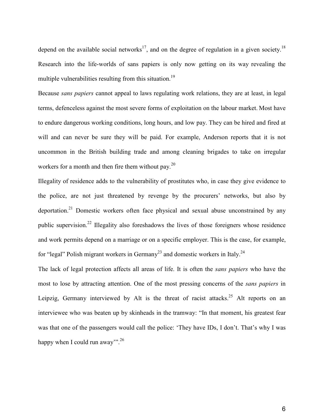depend on the available social networks<sup>17</sup>, and on the degree of regulation in a given society.<sup>18</sup> Research into the life-worlds of sans papiers is only now getting on its way revealing the multiple vulnerabilities resulting from this situation.<sup>19</sup>

Because *sans papiers* cannot appeal to laws regulating work relations, they are at least, in legal terms, defenceless against the most severe forms of exploitation on the labour market. Most have to endure dangerous working conditions, long hours, and low pay. They can be hired and fired at will and can never be sure they will be paid. For example, Anderson reports that it is not uncommon in the British building trade and among cleaning brigades to take on irregular workers for a month and then fire them without pay.<sup>20</sup>

Illegality of residence adds to the vulnerability of prostitutes who, in case they give evidence to the police, are not just threatened by revenge by the procurers' networks, but also by deportation.<sup>21</sup> Domestic workers often face physical and sexual abuse unconstrained by any public supervision.<sup>22</sup> Illegality also foreshadows the lives of those foreigners whose residence and work permits depend on a marriage or on a specific employer. This is the case, for example, for "legal" Polish migrant workers in Germany<sup>23</sup> and domestic workers in Italy.<sup>24</sup>

The lack of legal protection affects all areas of life. It is often the *sans papiers* who have the most to lose by attracting attention. One of the most pressing concerns of the *sans papiers* in Leipzig, Germany interviewed by Alt is the threat of racist attacks.<sup>25</sup> Alt reports on an interviewee who was beaten up by skinheads in the tramway: "In that moment, his greatest fear was that one of the passengers would call the police: 'They have IDs, I don't. That's why I was happy when I could run away"<sup>26</sup>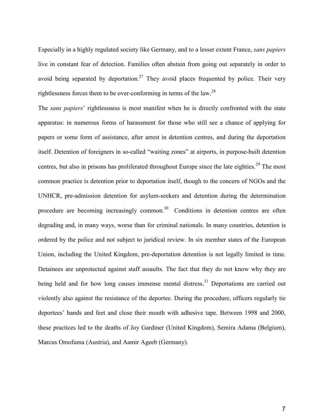Especially in a highly regulated society like Germany, and to a lesser extent France, *sans papiers* live in constant fear of detection. Families often abstain from going out separately in order to avoid being separated by deportation.<sup>27</sup> They avoid places frequented by police. Their very rightlessness forces them to be over-conforming in terms of the  $law.<sup>28</sup>$ 

The *sans papiers*' rightlessness is most manifest when he is directly confronted with the state apparatus: in numerous forms of harassment for those who still see a chance of applying for papers or some form of assistance, after arrest in detention centres, and during the deportation itself. Detention of foreigners in so-called "waiting zones" at airports, in purpose-built detention centres, but also in prisons has proliferated throughout Europe since the late eighties.<sup>29</sup> The most common practice is detention prior to deportation itself, though to the concern of NGOs and the UNHCR, pre-admission detention for asylum-seekers and detention during the determination procedure are becoming increasingly common.<sup>30</sup> Conditions in detention centres are often degrading and, in many ways, worse than for criminal nationals. In many countries, detention is ordered by the police and not subject to juridical review. In six member states of the European Union, including the United Kingdom, pre-deportation detention is not legally limited in time. Detainees are unprotected against staff assaults. The fact that they do not know why they are being held and for how long causes immense mental distress.<sup>31</sup> Deportations are carried out violently also against the resistance of the deportee. During the procedure, officers regularly tie deportees' hands and feet and close their mouth with adhesive tape. Between 1998 and 2000, these practices led to the deaths of Joy Gardiner (United Kingdom), Semira Adama (Belgium), Marcus Omofuma (Austria), and Aamir Ageeb (Germany).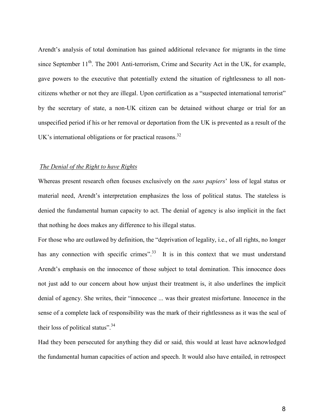Arendt's analysis of total domination has gained additional relevance for migrants in the time since September  $11<sup>th</sup>$ . The 2001 Anti-terrorism, Crime and Security Act in the UK, for example, gave powers to the executive that potentially extend the situation of rightlessness to all noncitizens whether or not they are illegal. Upon certification as a "suspected international terrorist" by the secretary of state, a non-UK citizen can be detained without charge or trial for an unspecified period if his or her removal or deportation from the UK is prevented as a result of the UK's international obligations or for practical reasons.<sup>32</sup>

#### *The Denial of the Right to have Rights*

Whereas present research often focuses exclusively on the *sans papiers*' loss of legal status or material need, Arendt's interpretation emphasizes the loss of political status. The stateless is denied the fundamental human capacity to act. The denial of agency is also implicit in the fact that nothing he does makes any difference to his illegal status.

For those who are outlawed by definition, the "deprivation of legality, i.e., of all rights, no longer has any connection with specific crimes".<sup>33</sup> It is in this context that we must understand Arendt's emphasis on the innocence of those subject to total domination. This innocence does not just add to our concern about how unjust their treatment is, it also underlines the implicit denial of agency. She writes, their "innocence ... was their greatest misfortune. Innocence in the sense of a complete lack of responsibility was the mark of their rightlessness as it was the seal of their loss of political status".  $34$ 

Had they been persecuted for anything they did or said, this would at least have acknowledged the fundamental human capacities of action and speech. It would also have entailed, in retrospect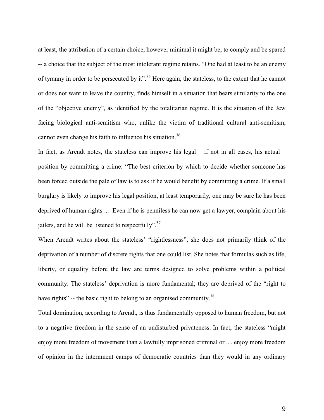at least, the attribution of a certain choice, however minimal it might be, to comply and be spared -- a choice that the subject of the most intolerant regime retains. "One had at least to be an enemy of tyranny in order to be persecuted by it".<sup>35</sup> Here again, the stateless, to the extent that he cannot or does not want to leave the country, finds himself in a situation that bears similarity to the one of the "objective enemy", as identified by the totalitarian regime. It is the situation of the Jew facing biological anti-semitism who, unlike the victim of traditional cultural anti-semitism, cannot even change his faith to influence his situation.<sup>36</sup>

In fact, as Arendt notes, the stateless can improve his legal  $-$  if not in all cases, his actual  $$ position by committing a crime: "The best criterion by which to decide whether someone has been forced outside the pale of law is to ask if he would benefit by committing a crime. If a small burglary is likely to improve his legal position, at least temporarily, one may be sure he has been deprived of human rights ... Even if he is penniless he can now get a lawyer, complain about his jailers, and he will be listened to respectfully".<sup>37</sup>

When Arendt writes about the stateless' "rightlessness", she does not primarily think of the deprivation of a number of discrete rights that one could list. She notes that formulas such as life, liberty, or equality before the law are terms designed to solve problems within a political community. The stateless' deprivation is more fundamental; they are deprived of the "right to have rights" -- the basic right to belong to an organised community.<sup>38</sup>

Total domination, according to Arendt, is thus fundamentally opposed to human freedom, but not to a negative freedom in the sense of an undisturbed privateness. In fact, the stateless "might enjoy more freedom of movement than a lawfully imprisoned criminal or .... enjoy more freedom of opinion in the internment camps of democratic countries than they would in any ordinary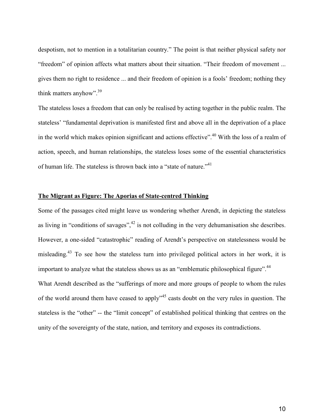despotism, not to mention in a totalitarian country." The point is that neither physical safety nor "freedom" of opinion affects what matters about their situation. "Their freedom of movement ... gives them no right to residence ... and their freedom of opinion is a fools' freedom; nothing they think matters anyhow".  $39$ 

The stateless loses a freedom that can only be realised by acting together in the public realm. The stateless' "fundamental deprivation is manifested first and above all in the deprivation of a place in the world which makes opinion significant and actions effective".<sup>40</sup> With the loss of a realm of action, speech, and human relationships, the stateless loses some of the essential characteristics of human life. The stateless is thrown back into a "state of nature."<sup>41</sup>

# **The Migrant as Figure: The Aporias of State-centred Thinking**

Some of the passages cited might leave us wondering whether Arendt, in depicting the stateless as living in "conditions of savages",  $42$  is not colluding in the very dehumanisation she describes. However, a one-sided "catastrophic" reading of Arendt's perspective on statelessness would be misleading.<sup>43</sup> To see how the stateless turn into privileged political actors in her work, it is important to analyze what the stateless shows us as an "emblematic philosophical figure".<sup>44</sup> What Arendt described as the "sufferings of more and more groups of people to whom the rules of the world around them have ceased to apply"<sup>45</sup> casts doubt on the very rules in question. The stateless is the "other" -- the "limit concept" of established political thinking that centres on the unity of the sovereignty of the state, nation, and territory and exposes its contradictions.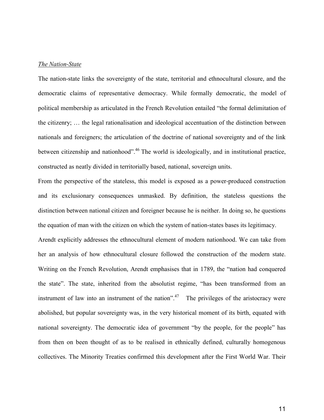### *The Nation-State*

The nation-state links the sovereignty of the state, territorial and ethnocultural closure, and the democratic claims of representative democracy. While formally democratic, the model of political membership as articulated in the French Revolution entailed "the formal delimitation of the citizenry; … the legal rationalisation and ideological accentuation of the distinction between nationals and foreigners; the articulation of the doctrine of national sovereignty and of the link between citizenship and nationhood".<sup>46</sup> The world is ideologically, and in institutional practice, constructed as neatly divided in territorially based, national, sovereign units.

From the perspective of the stateless, this model is exposed as a power-produced construction and its exclusionary consequences unmasked. By definition, the stateless questions the distinction between national citizen and foreigner because he is neither. In doing so, he questions the equation of man with the citizen on which the system of nation-states bases its legitimacy.

Arendt explicitly addresses the ethnocultural element of modern nationhood. We can take from her an analysis of how ethnocultural closure followed the construction of the modern state. Writing on the French Revolution, Arendt emphasises that in 1789, the "nation had conquered the state". The state, inherited from the absolutist regime, "has been transformed from an instrument of law into an instrument of the nation".<sup>47</sup> The privileges of the aristocracy were abolished, but popular sovereignty was, in the very historical moment of its birth, equated with national sovereignty. The democratic idea of government "by the people, for the people" has from then on been thought of as to be realised in ethnically defined, culturally homogenous collectives. The Minority Treaties confirmed this development after the First World War. Their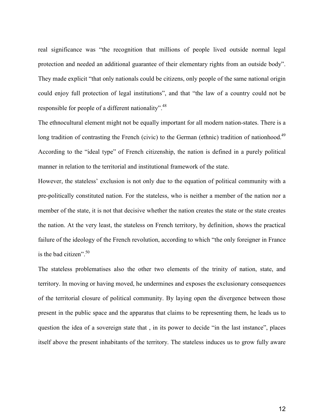real significance was "the recognition that millions of people lived outside normal legal protection and needed an additional guarantee of their elementary rights from an outside body". They made explicit "that only nationals could be citizens, only people of the same national origin could enjoy full protection of legal institutions", and that "the law of a country could not be responsible for people of a different nationality".<sup>48</sup>

The ethnocultural element might not be equally important for all modern nation-states. There is a long tradition of contrasting the French (civic) to the German (ethnic) tradition of nationhood.<sup>49</sup> According to the "ideal type" of French citizenship, the nation is defined in a purely political manner in relation to the territorial and institutional framework of the state.

However, the stateless' exclusion is not only due to the equation of political community with a pre-politically constituted nation. For the stateless, who is neither a member of the nation nor a member of the state, it is not that decisive whether the nation creates the state or the state creates the nation. At the very least, the stateless on French territory, by definition, shows the practical failure of the ideology of the French revolution, according to which "the only foreigner in France is the bad citizen". $50$ 

The stateless problematises also the other two elements of the trinity of nation, state, and territory. In moving or having moved, he undermines and exposes the exclusionary consequences of the territorial closure of political community. By laying open the divergence between those present in the public space and the apparatus that claims to be representing them, he leads us to question the idea of a sovereign state that , in its power to decide "in the last instance", places itself above the present inhabitants of the territory. The stateless induces us to grow fully aware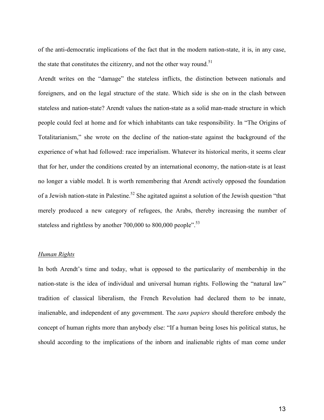of the anti-democratic implications of the fact that in the modern nation-state, it is, in any case, the state that constitutes the citizenry, and not the other way round.<sup>51</sup>

Arendt writes on the "damage" the stateless inflicts, the distinction between nationals and foreigners, and on the legal structure of the state. Which side is she on in the clash between stateless and nation-state? Arendt values the nation-state as a solid man-made structure in which people could feel at home and for which inhabitants can take responsibility. In "The Origins of Totalitarianism," she wrote on the decline of the nation-state against the background of the experience of what had followed: race imperialism. Whatever its historical merits, it seems clear that for her, under the conditions created by an international economy, the nation-state is at least no longer a viable model. It is worth remembering that Arendt actively opposed the foundation of a Jewish nation-state in Palestine.<sup>52</sup> She agitated against a solution of the Jewish question "that merely produced a new category of refugees, the Arabs, thereby increasing the number of stateless and rightless by another  $700,000$  to  $800,000$  people".<sup>53</sup>

#### *Human Rights*

In both Arendt's time and today, what is opposed to the particularity of membership in the nation-state is the idea of individual and universal human rights. Following the "natural law" tradition of classical liberalism, the French Revolution had declared them to be innate, inalienable, and independent of any government. The *sans papiers* should therefore embody the concept of human rights more than anybody else: "If a human being loses his political status, he should according to the implications of the inborn and inalienable rights of man come under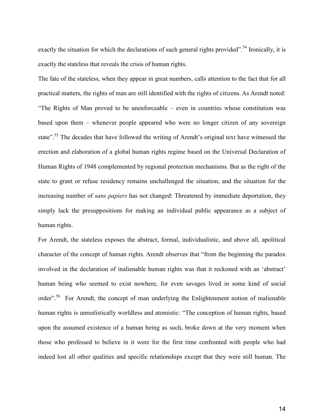exactly the situation for which the declarations of such general rights provided".<sup>54</sup> Ironically, it is exactly the stateless that reveals the crisis of human rights.

The fate of the stateless, when they appear in great numbers, calls attention to the fact that for all practical matters, the rights of man are still identified with the rights of citizens. As Arendt noted: "The Rights of Man proved to be unenforceable – even in countries whose constitution was based upon them – whenever people appeared who were no longer citizen of any sovereign state".<sup>55</sup> The decades that have followed the writing of Arendt's original text have witnessed the erection and elaboration of a global human rights regime based on the Universal Declaration of Human Rights of 1948 complemented by regional protection mechanisms. But as the right of the state to grant or refuse residency remains unchallenged the situation, and the situation for the increasing number of *sans papiers* has not changed: Threatened by immediate deportation, they simply lack the presuppositions for making an individual public appearance as a subject of human rights.

For Arendt, the stateless exposes the abstract, formal, individualistic, and above all, apolitical character of the concept of human rights. Arendt observes that "from the beginning the paradox involved in the declaration of inalienable human rights was that it reckoned with an 'abstract' human being who seemed to exist nowhere, for even savages lived in some kind of social order".<sup>56</sup> For Arendt, the concept of man underlying the Enlightenment notion of inalienable human rights is unrealistically worldless and atomistic: "The conception of human rights, based upon the assumed existence of a human being as such, broke down at the very moment when those who professed to believe in it were for the first time confronted with people who had indeed lost all other qualities and specific relationships except that they were still human. The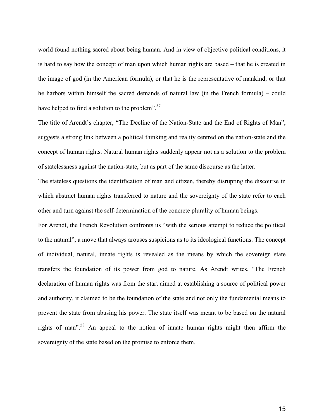world found nothing sacred about being human. And in view of objective political conditions, it is hard to say how the concept of man upon which human rights are based – that he is created in the image of god (in the American formula), or that he is the representative of mankind, or that he harbors within himself the sacred demands of natural law (in the French formula) – could have helped to find a solution to the problem".<sup>57</sup>

The title of Arendt's chapter, "The Decline of the Nation-State and the End of Rights of Man", suggests a strong link between a political thinking and reality centred on the nation-state and the concept of human rights. Natural human rights suddenly appear not as a solution to the problem of statelessness against the nation-state, but as part of the same discourse as the latter.

The stateless questions the identification of man and citizen, thereby disrupting the discourse in which abstract human rights transferred to nature and the sovereignty of the state refer to each other and turn against the self-determination of the concrete plurality of human beings.

For Arendt, the French Revolution confronts us "with the serious attempt to reduce the political to the natural"; a move that always arouses suspicions as to its ideological functions. The concept of individual, natural, innate rights is revealed as the means by which the sovereign state transfers the foundation of its power from god to nature. As Arendt writes, "The French declaration of human rights was from the start aimed at establishing a source of political power and authority, it claimed to be the foundation of the state and not only the fundamental means to prevent the state from abusing his power. The state itself was meant to be based on the natural rights of man".<sup>58</sup> An appeal to the notion of innate human rights might then affirm the sovereignty of the state based on the promise to enforce them.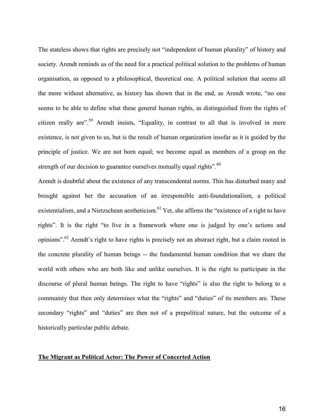The stateless shows that rights are precisely not "independent of human plurality" of history and society. Arendt reminds us of the need for a practical political solution to the problems of human organisation, as opposed to a philosophical, theoretical one. A political solution that seems all the more without alternative, as history has shown that in the end, as Arendt wrote, "no one seems to be able to define what these general human rights, as distinguished from the rights of citizen really are".<sup>59</sup> Arendt insists, "Equality, in contrast to all that is involved in mere existence, is not given to us, but is the result of human organization insofar as it is guided by the principle of justice. We are not born equal; we become equal as members of a group on the strength of our decision to guarantee ourselves mutually equal rights".  $60$ 

Arendt is doubtful about the existence of any transcendental norms. This has disturbed many and brought against her the accusation of an irresponsible anti-foundationalism, a political existentialism, and a Nietzschean aestheticism.<sup>61</sup> Yet, she affirms the "existence of a right to have rights". It is the right "to live in a framework where one is judged by one's actions and opinions".<sup>62</sup> Arendt's right to have rights is precisely not an abstract right, but a claim rooted in the concrete plurality of human beings -- the fundamental human condition that we share the world with others who are both like and unlike ourselves. It is the right to participate in the discourse of plural human beings. The right to have "rights" is also the right to belong to a community that then only determines what the "rights" and "duties" of its members are. These secondary "rights" and "duties" are then not of a prepolitical nature, but the outcome of a historically particular public debate.

# **The Migrant as Political Actor: The Power of Concerted Action**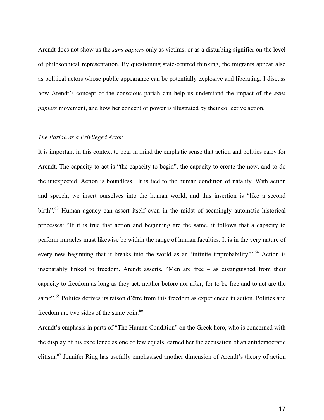Arendt does not show us the *sans papiers* only as victims, or as a disturbing signifier on the level of philosophical representation. By questioning state-centred thinking, the migrants appear also as political actors whose public appearance can be potentially explosive and liberating. I discuss how Arendt's concept of the conscious pariah can help us understand the impact of the *sans papiers* movement, and how her concept of power is illustrated by their collective action.

#### *The Pariah as a Privileged Actor*

It is important in this context to bear in mind the emphatic sense that action and politics carry for Arendt. The capacity to act is "the capacity to begin", the capacity to create the new, and to do the unexpected. Action is boundless. It is tied to the human condition of natality. With action and speech, we insert ourselves into the human world, and this insertion is "like a second birth".<sup>63</sup> Human agency can assert itself even in the midst of seemingly automatic historical processes: "If it is true that action and beginning are the same, it follows that a capacity to perform miracles must likewise be within the range of human faculties. It is in the very nature of every new beginning that it breaks into the world as an 'infinite improbability'".<sup>64</sup> Action is inseparably linked to freedom. Arendt asserts, "Men are free – as distinguished from their capacity to freedom as long as they act, neither before nor after; for to be free and to act are the same".<sup>65</sup> Politics derives its raison d'être from this freedom as experienced in action. Politics and freedom are two sides of the same coin.<sup>66</sup>

Arendt's emphasis in parts of "The Human Condition" on the Greek hero, who is concerned with the display of his excellence as one of few equals, earned her the accusation of an antidemocratic elitism.<sup>67</sup> Jennifer Ring has usefully emphasised another dimension of Arendt's theory of action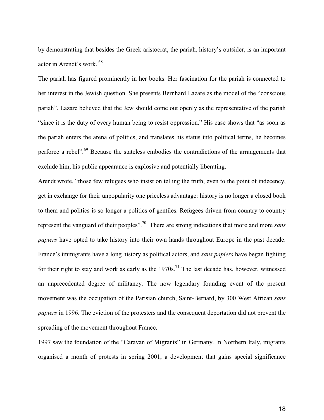by demonstrating that besides the Greek aristocrat, the pariah, history's outsider, is an important actor in Arendt's work.<sup>68</sup>

The pariah has figured prominently in her books. Her fascination for the pariah is connected to her interest in the Jewish question. She presents Bernhard Lazare as the model of the "conscious pariah". Lazare believed that the Jew should come out openly as the representative of the pariah "since it is the duty of every human being to resist oppression." His case shows that "as soon as the pariah enters the arena of politics, and translates his status into political terms, he becomes perforce a rebel".<sup>69</sup> Because the stateless embodies the contradictions of the arrangements that exclude him, his public appearance is explosive and potentially liberating.

Arendt wrote, "those few refugees who insist on telling the truth, even to the point of indecency, get in exchange for their unpopularity one priceless advantage: history is no longer a closed book to them and politics is so longer a politics of gentiles. Refugees driven from country to country represent the vanguard of their peoples".<sup>70</sup> There are strong indications that more and more *sans papiers* have opted to take history into their own hands throughout Europe in the past decade. France's immigrants have a long history as political actors, and *sans papiers* have began fighting for their right to stay and work as early as the  $1970s$ .<sup>71</sup> The last decade has, however, witnessed an unprecedented degree of militancy. The now legendary founding event of the present movement was the occupation of the Parisian church, Saint-Bernard, by 300 West African *sans papiers* in 1996. The eviction of the protesters and the consequent deportation did not prevent the spreading of the movement throughout France.

1997 saw the foundation of the "Caravan of Migrants" in Germany. In Northern Italy, migrants organised a month of protests in spring 2001, a development that gains special significance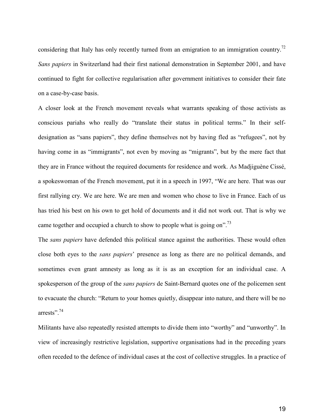considering that Italy has only recently turned from an emigration to an immigration country.<sup>72</sup> *Sans papiers* in Switzerland had their first national demonstration in September 2001, and have continued to fight for collective regularisation after government initiatives to consider their fate on a case-by-case basis.

A closer look at the French movement reveals what warrants speaking of those activists as conscious pariahs who really do "translate their status in political terms." In their selfdesignation as "sans papiers", they define themselves not by having fled as "refugees", not by having come in as "immigrants", not even by moving as "migrants", but by the mere fact that they are in France without the required documents for residence and work. As Madjiguène Cissé, a spokeswoman of the French movement, put it in a speech in 1997, "We are here. That was our first rallying cry. We are here. We are men and women who chose to live in France. Each of us has tried his best on his own to get hold of documents and it did not work out. That is why we came together and occupied a church to show to people what is going on".<sup>73</sup>

The *sans papiers* have defended this political stance against the authorities. These would often close both eyes to the *sans papiers*' presence as long as there are no political demands, and sometimes even grant amnesty as long as it is as an exception for an individual case. A spokesperson of the group of the *sans papiers* de Saint-Bernard quotes one of the policemen sent to evacuate the church: "Return to your homes quietly, disappear into nature, and there will be no arrests".<sup>74</sup>

Militants have also repeatedly resisted attempts to divide them into "worthy" and "unworthy". In view of increasingly restrictive legislation, supportive organisations had in the preceding years often receded to the defence of individual cases at the cost of collective struggles. In a practice of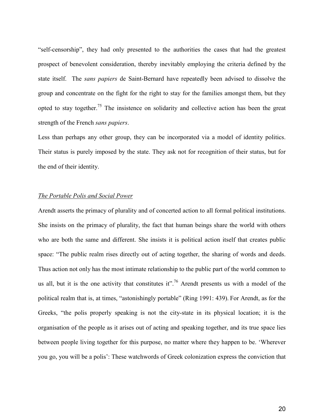"self-censorship", they had only presented to the authorities the cases that had the greatest prospect of benevolent consideration, thereby inevitably employing the criteria defined by the state itself. The *sans papiers* de Saint-Bernard have repeatedly been advised to dissolve the group and concentrate on the fight for the right to stay for the families amongst them, but they opted to stay together.<sup>75</sup> The insistence on solidarity and collective action has been the great strength of the French *sans papiers*.

Less than perhaps any other group, they can be incorporated via a model of identity politics. Their status is purely imposed by the state. They ask not for recognition of their status, but for the end of their identity.

## *The Portable Polis and Social Power*

Arendt asserts the primacy of plurality and of concerted action to all formal political institutions. She insists on the primacy of plurality, the fact that human beings share the world with others who are both the same and different. She insists it is political action itself that creates public space: "The public realm rises directly out of acting together, the sharing of words and deeds. Thus action not only has the most intimate relationship to the public part of the world common to us all, but it is the one activity that constitutes it".<sup>76</sup> Arendt presents us with a model of the political realm that is, at times, "astonishingly portable" (Ring 1991: 439). For Arendt, as for the Greeks, "the polis properly speaking is not the city-state in its physical location; it is the organisation of the people as it arises out of acting and speaking together, and its true space lies between people living together for this purpose, no matter where they happen to be. 'Wherever you go, you will be a polis': These watchwords of Greek colonization express the conviction that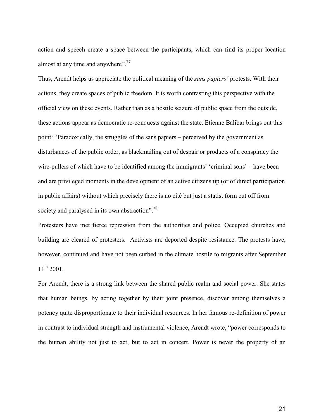action and speech create a space between the participants, which can find its proper location almost at any time and anywhere".<sup>77</sup>

Thus, Arendt helps us appreciate the political meaning of the *sans papiers'* protests. With their actions, they create spaces of public freedom. It is worth contrasting this perspective with the official view on these events. Rather than as a hostile seizure of public space from the outside, these actions appear as democratic re-conquests against the state. Etienne Balibar brings out this point: "Paradoxically, the struggles of the sans papiers – perceived by the government as disturbances of the public order, as blackmailing out of despair or products of a conspiracy the wire-pullers of which have to be identified among the immigrants' 'criminal sons' – have been and are privileged moments in the development of an active citizenship (or of direct participation in public affairs) without which precisely there is no cité but just a statist form cut off from society and paralysed in its own abstraction".<sup>78</sup>

Protesters have met fierce repression from the authorities and police. Occupied churches and building are cleared of protesters. Activists are deported despite resistance. The protests have, however, continued and have not been curbed in the climate hostile to migrants after September  $11^{th}$  2001.

For Arendt, there is a strong link between the shared public realm and social power. She states that human beings, by acting together by their joint presence, discover among themselves a potency quite disproportionate to their individual resources. In her famous re-definition of power in contrast to individual strength and instrumental violence, Arendt wrote, "power corresponds to the human ability not just to act, but to act in concert. Power is never the property of an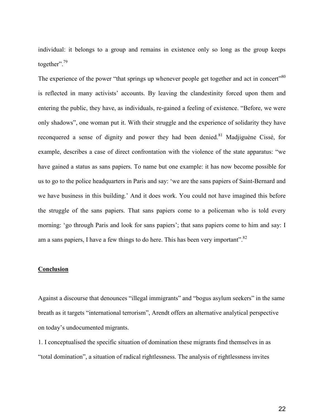individual: it belongs to a group and remains in existence only so long as the group keeps together".<sup>79</sup>

The experience of the power "that springs up whenever people get together and act in concert"<sup>80</sup> is reflected in many activists' accounts. By leaving the clandestinity forced upon them and entering the public, they have, as individuals, re-gained a feeling of existence. "Before, we were only shadows", one woman put it. With their struggle and the experience of solidarity they have reconquered a sense of dignity and power they had been denied.<sup>81</sup> Madjiguène Cissé, for example, describes a case of direct confrontation with the violence of the state apparatus: "we have gained a status as sans papiers. To name but one example: it has now become possible for us to go to the police headquarters in Paris and say: 'we are the sans papiers of Saint-Bernard and we have business in this building.' And it does work. You could not have imagined this before the struggle of the sans papiers. That sans papiers come to a policeman who is told every morning: 'go through Paris and look for sans papiers'; that sans papiers come to him and say: I am a sans papiers, I have a few things to do here. This has been very important".  $82$ 

## **Conclusion**

Against a discourse that denounces "illegal immigrants" and "bogus asylum seekers" in the same breath as it targets "international terrorism", Arendt offers an alternative analytical perspective on today's undocumented migrants.

1. I conceptualised the specific situation of domination these migrants find themselves in as "total domination", a situation of radical rightlessness. The analysis of rightlessness invites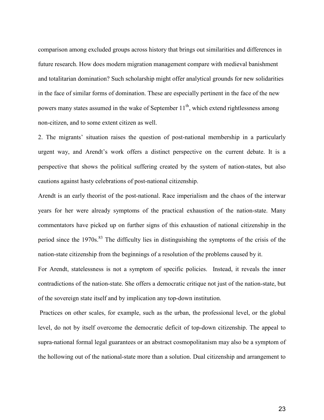comparison among excluded groups across history that brings out similarities and differences in future research. How does modern migration management compare with medieval banishment and totalitarian domination? Such scholarship might offer analytical grounds for new solidarities in the face of similar forms of domination. These are especially pertinent in the face of the new powers many states assumed in the wake of September  $11<sup>th</sup>$ , which extend rightlessness among non-citizen, and to some extent citizen as well.

2. The migrants' situation raises the question of post-national membership in a particularly urgent way, and Arendt's work offers a distinct perspective on the current debate. It is a perspective that shows the political suffering created by the system of nation-states, but also cautions against hasty celebrations of post-national citizenship.

Arendt is an early theorist of the post-national. Race imperialism and the chaos of the interwar years for her were already symptoms of the practical exhaustion of the nation-state. Many commentators have picked up on further signs of this exhaustion of national citizenship in the period since the 1970s.<sup>83</sup> The difficulty lies in distinguishing the symptoms of the crisis of the nation-state citizenship from the beginnings of a resolution of the problems caused by it.

For Arendt, statelessness is not a symptom of specific policies. Instead, it reveals the inner contradictions of the nation-state. She offers a democratic critique not just of the nation-state, but of the sovereign state itself and by implication any top-down institution.

 Practices on other scales, for example, such as the urban, the professional level, or the global level, do not by itself overcome the democratic deficit of top-down citizenship. The appeal to supra-national formal legal guarantees or an abstract cosmopolitanism may also be a symptom of the hollowing out of the national-state more than a solution. Dual citizenship and arrangement to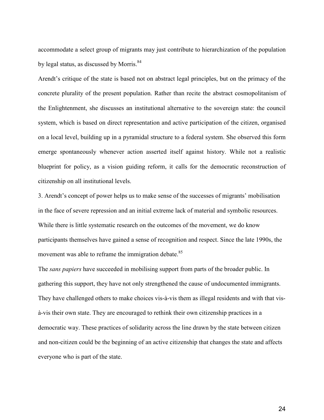accommodate a select group of migrants may just contribute to hierarchization of the population by legal status, as discussed by Morris.<sup>84</sup>

Arendt's critique of the state is based not on abstract legal principles, but on the primacy of the concrete plurality of the present population. Rather than recite the abstract cosmopolitanism of the Enlightenment, she discusses an institutional alternative to the sovereign state: the council system, which is based on direct representation and active participation of the citizen, organised on a local level, building up in a pyramidal structure to a federal system. She observed this form emerge spontaneously whenever action asserted itself against history. While not a realistic blueprint for policy, as a vision guiding reform, it calls for the democratic reconstruction of citizenship on all institutional levels.

3. Arendt's concept of power helps us to make sense of the successes of migrants' mobilisation in the face of severe repression and an initial extreme lack of material and symbolic resources. While there is little systematic research on the outcomes of the movement, we do know participants themselves have gained a sense of recognition and respect. Since the late 1990s, the movement was able to reframe the immigration debate.<sup>85</sup>

The *sans papiers* have succeeded in mobilising support from parts of the broader public. In gathering this support, they have not only strengthened the cause of undocumented immigrants. They have challenged others to make choices vis-à-vis them as illegal residents and with that visà-vis their own state. They are encouraged to rethink their own citizenship practices in a democratic way. These practices of solidarity across the line drawn by the state between citizen and non-citizen could be the beginning of an active citizenship that changes the state and affects everyone who is part of the state.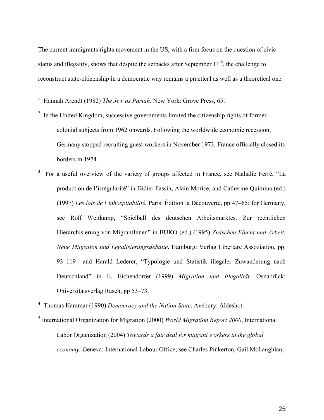The current immigrants rights movement in the US, with a firm focus on the question of civic status and illegality, shows that despite the setbacks after September  $11<sup>th</sup>$ , the challenge to reconstruct state-citizenship in a democratic way remains a practical as well as a theoretical one.

<sup>1</sup> Hannah Arendt (1982) *The Jew as Pariah*. New York: Grove Press, 65.

l.

- $2\;\;$  In the United Kingdom, successive governments limited the citizenship rights of former colonial subjects from 1962 onwards. Following the worldwide economic recession, Germany stopped recruiting guest workers in November 1973, France officially closed its borders in 1974.
- <sup>3</sup> For a useful overview of the variety of groups affected in France, see Nathalie Ferré, "La production de l'irrégularité" in Didier Fassin, Alain Morice, and Catherine Quimina (ed.) (1997) *Les lois de l'inhospitabilité.* Paris: Édition la Découverte, pp 47–65; for Germany, see Rolf Weitkamp, "Spielball des deutschen Arbeitsmarktes. Zur rechtlichen Hierarchisierung von MigrantInnen" in BUKO (ed.) (1995) *Zwischen Flucht und Arbeit. Neue Migration und Legalisierungsdebatte*. Hamburg: Verlag Libertäre Assoziation, pp. 93–119 and Harald Lederer, "Typologie und Statistik illegaler Zuwanderung nach Deutschland" in E. Eichendorfer (1999) *Migration und Illegalität*. Osnabrück: Universitätsverlag Rasch, pp 53–73.

4 Thomas Hammar (1990) *Democracy and the Nation State*. Avebury: Aldeshot.

5 International Organization for Migration (2000) *World Migration Report 2000*, International Labor Organization (2004) *Towards a fair deal for migrant workers in the global economy.* Geneva: International Labour Office; see Charles Pinkerton, Gail McLaughlan,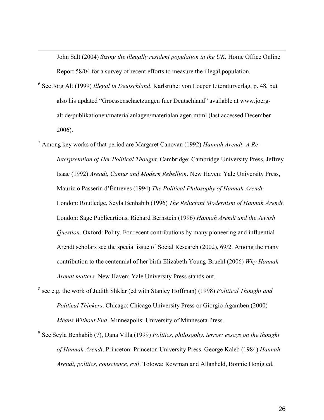John Salt (2004) *Sizing the illegally resident population in the UK,* Home Office Online Report 58/04 for a survey of recent efforts to measure the illegal population.

6 See Jörg Alt (1999) *Illegal in Deutschland*. Karlsruhe: von Loeper Literaturverlag, p. 48, but also his updated "Groessenschaetzungen fuer Deutschland" available at www.joergalt.de/publikationen/materialanlagen/materialanlagen.mtml (last accessed December 2006).

l.

7 Among key works of that period are Margaret Canovan (1992) *Hannah Arendt: A Re-Interpretation of Her Political Thought*. Cambridge: Cambridge University Press, Jeffrey Isaac (1992) *Arendt, Camus and Modern Rebellion*. New Haven: Yale University Press, Maurizio Passerin d'Éntreves (1994) *The Political Philosophy of Hannah Arendt.* London: Routledge, Seyla Benhabib (1996) *The Reluctant Modernism of Hannah Arendt.* London: Sage Publicartions, Richard Bernstein (1996) *Hannah Arendt and the Jewish Question.* Oxford: Polity. For recent contributions by many pioneering and influential Arendt scholars see the special issue of Social Research (2002), 69/2. Among the many contribution to the centennial of her birth Elizabeth Young-Bruehl (2006) *Why Hannah Arendt matters.* New Haven: Yale University Press stands out.

- 8 see e.g. the work of Judith Shklar (ed with Stanley Hoffman) (1998) *Political Thought and Political Thinkers*. Chicago: Chicago University Press or Giorgio Agamben (2000) *Means Without End*. Minneapolis: University of Minnesota Press.
- 9 See Seyla Benhabib (7), Dana Villa (1999) *Politics, philosophy, terror: essays on the thought of Hannah Arendt*. Princeton: Princeton University Press. George Kaleb (1984) *Hannah Arendt, politics, conscience, evil*. Totowa: Rowman and Allanheld, Bonnie Honig ed.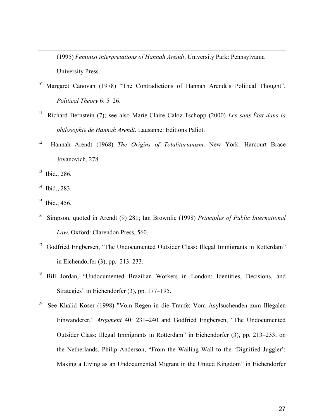(1995) *Feminist interpretations of Hannah Arendt*. University Park: Pennsylvania University Press.

- Margaret Canovan (1978) "The Contradictions of Hannah Arendt's Political Thought", *Political Theory* 6: 5–26.
- <sup>11</sup> Richard Bernstein (7); see also Marie-Claire Caloz-Tschopp (2000) *Les sans-État dans la philosophie de Hannah Arendt*. Lausanne: Editions Paliot.
- <sup>12</sup> Hannah Arendt (1968) *The Origins of Totalitarianism*. New York: Harcourt Brace Jovanovich, 278.
- $13$  Ibid., 286.

- <sup>14</sup> Ibid., 283.
- $15$  Ibid., 456.
- <sup>16</sup> Simpson, quoted in Arendt (9) 281; Ian Brownlie (1998) *Principles of Public International Law*. Oxford: Clarendon Press, 560.
- <sup>17</sup> Godfried Engbersen, "The Undocumented Outsider Class: Illegal Immigrants in Rotterdam" in Eichendorfer (3), pp. 213–233.
- <sup>18</sup> Bill Jordan, "Undocumented Brazilian Workers in London: Identities, Decisions, and Strategies" in Eichendorfer (3), pp. 177–195.
- <sup>19</sup> See Khalid Koser (1998) "Vom Regen in die Traufe: Vom Asylsuchenden zum Illegalen Einwanderer," *Argument* 40: 231–240 and Godfried Engbersen, "The Undocumented Outsider Class: Illegal Immigrants in Rotterdam" in Eichendorfer (3), pp. 213–233; on the Netherlands. Philip Anderson, "From the Wailing Wall to the 'Dignified Juggler': Making a Living as an Undocumented Migrant in the United Kingdom" in Eichendorfer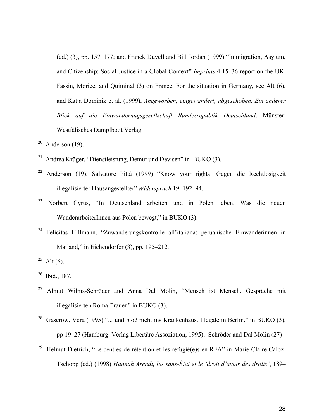(ed.) (3), pp. 157–177; and Franck Düvell and Bill Jordan (1999) "Immigration, Asylum, and Citizenship: Social Justice in a Global Context" *Imprints* 4:15–36 report on the UK. Fassin, Morice, and Quiminal (3) on France. For the situation in Germany, see Alt (6), and Katja Dominik et al. (1999), *Angeworben, eingewandert, abgeschoben. Ein anderer Blick auf die Einwanderungsgesellschaft Bundesrepublik Deutschland*. Münster: Westfälisches Dampfboot Verlag.

 $20$  Anderson (19).

- <sup>21</sup> Andrea Krüger, "Dienstleistung, Demut und Devisen" in BUKO  $(3)$ .
- <sup>22</sup> Anderson (19); Salvatore Pittà (1999) "Know your rights! Gegen die Rechtlosigkeit illegalisierter Hausangestellter" *Widerspruch* 19: 192–94.
- <sup>23</sup> Norbert Cyrus, "In Deutschland arbeiten und in Polen leben. Was die neuen WanderarbeiterInnen aus Polen bewegt," in BUKO (3).
- <sup>24</sup> Felicitas Hillmann, "Zuwanderungskontrolle all'italiana: peruanische Einwanderinnen in Mailand," in Eichendorfer (3), pp. 195–212.

- <sup>27</sup> Almut Wilms-Schröder and Anna Dal Molin, "Mensch ist Mensch. Gespräche mit illegalisierten Roma-Frauen" in BUKO (3).
- <sup>28</sup> Gaserow, Vera (1995) "... und bloß nicht ins Krankenhaus. Illegale in Berlin," in BUKO (3), pp 19–27 (Hamburg: Verlag Libertäre Assoziation, 1995); Schröder and Dal Molin (27)
- <sup>29</sup> Helmut Dietrich, "Le centres de rétention et les refugié(e)s en RFA" in Marie-Claire Caloz-Tschopp (ed.) (1998) *Hannah Arendt, les sans-État et le 'droit d'avoir des droits'*, 189–

 $25$  Alt (6).

 $26$  Ibid., 187.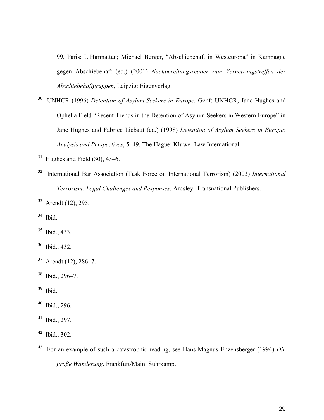99, Paris: L'Harmattan; Michael Berger, "Abschiebehaft in Westeuropa" in Kampagne gegen Abschiebehaft (ed.) (2001) *Nachbereitungsreader zum Vernetzungstreffen der Abschiebehaftgruppen*, Leipzig: Eigenverlag.

- <sup>30</sup> UNHCR (1996) *Detention of Asylum-Seekers in Europe*. Genf: UNHCR; Jane Hughes and Ophelia Field "Recent Trends in the Detention of Asylum Seekers in Western Europe" in Jane Hughes and Fabrice Liebaut (ed.) (1998) *Detention of Asylum Seekers in Europe: Analysis and Perspectives*, 5–49. The Hague: Kluwer Law International.
- $31$  Hughes and Field (30), 43–6.
- <sup>32</sup> International Bar Association (Task Force on International Terrorism) (2003) *International Terrorism: Legal Challenges and Responses*. Ardsley: Transnational Publishers.
- <sup>33</sup> Arendt (12), 295.
- <sup>34</sup> Ibid.

- <sup>35</sup> Ibid., 433.
- <sup>36</sup> Ibid., 432.
- $37$  Arendt (12), 286–7.
- <sup>38</sup> Ibid., 296–7.
- $39$  Ibid.
- <sup>40</sup> Ibid., 296.
- $41$  Ibid., 297.
- $42$  Ibid., 302.
- <sup>43</sup> For an example of such a catastrophic reading, see Hans-Magnus Enzensberger (1994) *Die große Wanderung*. Frankfurt/Main: Suhrkamp.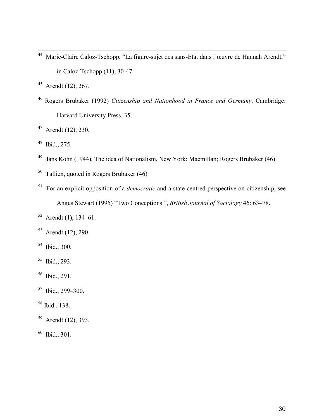- <sup>44</sup> Marie-Claire Caloz-Tschopp, "La figure-sujet des sans-Etat dans l'œuvre de Hannah Arendt," in Caloz-Tschopp (11), 30-47.
- Arendt (12), 267.

- Rogers Brubaker (1992) *Citizenship and Nationhood in France and Germany*. Cambridge: Harvard University Press. 35.
- Arendt (12), 230.
- Ibid., 275.
- Hans Kohn (1944), The idea of Nationalism, New York: Macmillan; Rogers Brubaker (46)
- Tallien, quoted in Rogers Brubaker (46)
- For an explicit opposition of a *democratic* and a state-centred perspective on citizenship, see Angus Stewart (1995) "Two Conceptions ", *British Journal of Sociology* 46: 63–78.
- Arendt (1), 134–61.
- Arendt (12), 290.
- Ibid., 300.
- Ibid., 293.
- Ibid., 291.
- Ibid., 299–300.
- Ibid., 138.
- Arendt (12), 393.
- Ibid., 301.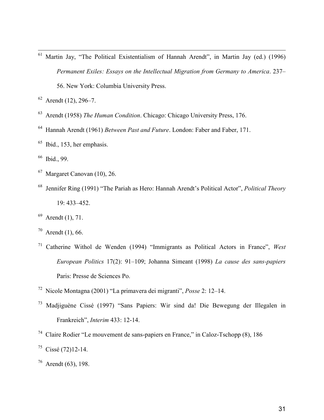- Martin Jay, "The Political Existentialism of Hannah Arendt", in Martin Jay (ed.) (1996) *Permanent Exiles: Essays on the Intellectual Migration from Germany to America*. 237– 56. New York: Columbia University Press.
- Arendt (12), 296–7.
- Arendt (1958) *The Human Condition*. Chicago: Chicago University Press, 176.
- Hannah Arendt (1961) *Between Past and Future*. London: Faber and Faber, 171.
- Ibid., 153, her emphasis.
- Ibid., 99.

- Margaret Canovan (10), 26.
- Jennifer Ring (1991) "The Pariah as Hero: Hannah Arendt's Political Actor", *Political Theory* 19: 433–452.
- Arendt (1), 71.
- Arendt (1), 66.
- Catherine Withol de Wenden (1994) "Immigrants as Political Actors in France", *West European Politics* 17(2): 91–109; Johanna Simeant (1998) *La cause des sans-papiers* Paris: Presse de Sciences Po.
- Nicole Montagna (2001) "La primavera dei migranti", *Posse* 2: 12–14.
- Madjiguène Cissé (1997) "Sans Papiers: Wir sind da! Die Bewegung der Illegalen in Frankreich", *Interim* 433: 12-14.
- Claire Rodier "Le mouvement de sans-papiers en France," in Caloz-Tschopp (8), 186
- Cissé (72)12-14.
- Arendt (63), 198.